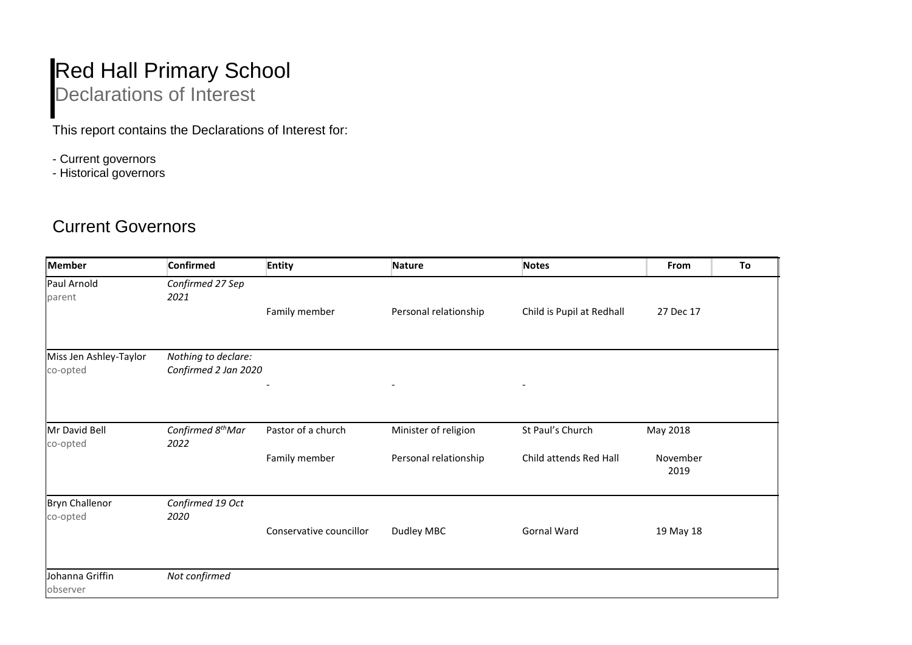## Red Hall Primary School Declarations of Interest

This report contains the Declarations of Interest for:

- Current governors
- Historical governors

## Current Governors

| Member                             | <b>Confirmed</b>                            | <b>Entity</b>            | Nature                   | <b>Notes</b>              | From             | To |
|------------------------------------|---------------------------------------------|--------------------------|--------------------------|---------------------------|------------------|----|
| Paul Arnold<br>parent              | Confirmed 27 Sep<br>2021                    | Family member            | Personal relationship    | Child is Pupil at Redhall | 27 Dec 17        |    |
| Miss Jen Ashley-Taylor<br>co-opted | Nothing to declare:<br>Confirmed 2 Jan 2020 |                          |                          |                           |                  |    |
|                                    |                                             | $\overline{\phantom{a}}$ | $\overline{\phantom{a}}$ | $\overline{\phantom{a}}$  |                  |    |
| Mr David Bell<br>co-opted          | Confirmed 8 <sup>th</sup> Mar<br>2022       | Pastor of a church       | Minister of religion     | St Paul's Church          | May 2018         |    |
|                                    |                                             | Family member            | Personal relationship    | Child attends Red Hall    | November<br>2019 |    |
| <b>Bryn Challenor</b><br>co-opted  | Confirmed 19 Oct<br>2020                    |                          |                          |                           |                  |    |
|                                    |                                             | Conservative councillor  | Dudley MBC               | Gornal Ward               | 19 May 18        |    |
| Johanna Griffin<br>observer        | Not confirmed                               |                          |                          |                           |                  |    |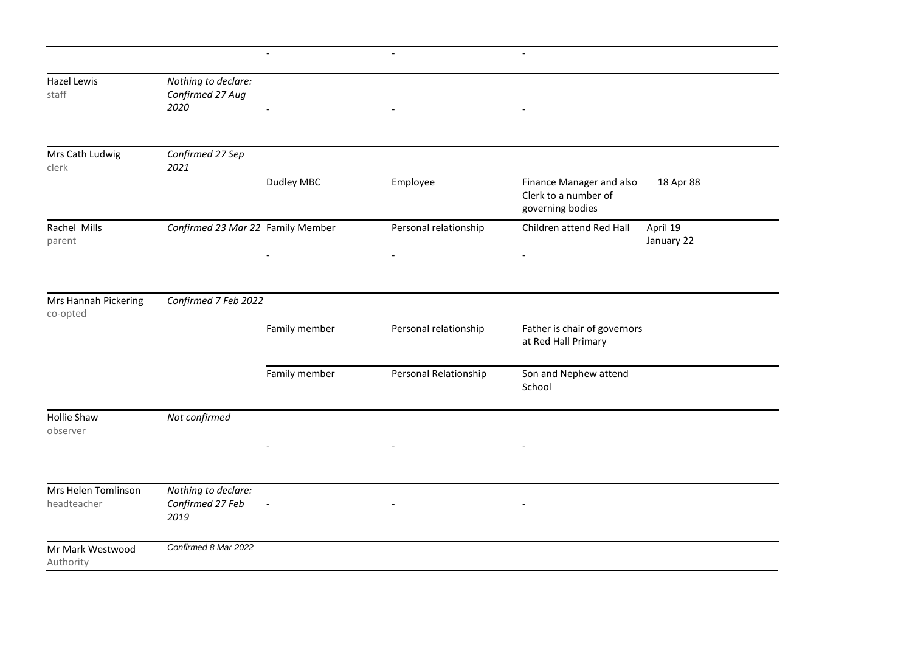|                                    |                                                 | $\blacksquare$ | $\overline{\phantom{a}}$ | $\overline{\phantom{a}}$                                             |                        |
|------------------------------------|-------------------------------------------------|----------------|--------------------------|----------------------------------------------------------------------|------------------------|
| <b>Hazel Lewis</b><br>staff        | Nothing to declare:<br>Confirmed 27 Aug<br>2020 |                |                          |                                                                      |                        |
| Mrs Cath Ludwig<br>clerk           | Confirmed 27 Sep<br>2021                        |                |                          |                                                                      |                        |
|                                    |                                                 | Dudley MBC     | Employee                 | Finance Manager and also<br>Clerk to a number of<br>governing bodies | 18 Apr 88              |
| Rachel Mills<br>parent             | Confirmed 23 Mar 22 Family Member               |                | Personal relationship    | Children attend Red Hall                                             | April 19<br>January 22 |
|                                    |                                                 |                |                          |                                                                      |                        |
| Mrs Hannah Pickering<br>co-opted   | Confirmed 7 Feb 2022                            |                |                          |                                                                      |                        |
|                                    |                                                 | Family member  | Personal relationship    | Father is chair of governors<br>at Red Hall Primary                  |                        |
|                                    |                                                 | Family member  | Personal Relationship    | Son and Nephew attend<br>School                                      |                        |
| <b>Hollie Shaw</b><br>observer     | Not confirmed                                   |                |                          |                                                                      |                        |
|                                    |                                                 |                |                          |                                                                      |                        |
| Mrs Helen Tomlinson<br>headteacher | Nothing to declare:<br>Confirmed 27 Feb<br>2019 |                |                          |                                                                      |                        |
| Mr Mark Westwood<br>Authority      | Confirmed 8 Mar 2022                            |                |                          |                                                                      |                        |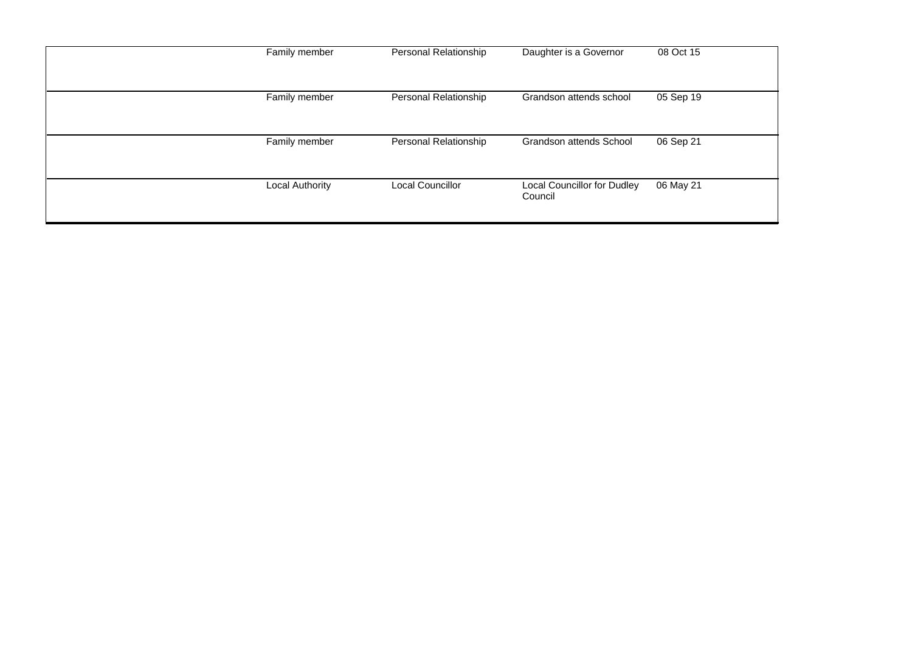| Family member          | Personal Relationship | Daughter is a Governor                 | 08 Oct 15 |
|------------------------|-----------------------|----------------------------------------|-----------|
| Family member          | Personal Relationship | Grandson attends school                | 05 Sep 19 |
| Family member          | Personal Relationship | Grandson attends School                | 06 Sep 21 |
| <b>Local Authority</b> | Local Councillor      | Local Councillor for Dudley<br>Council | 06 May 21 |